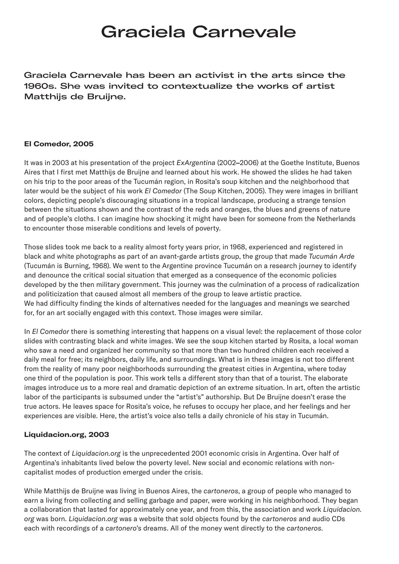# Graciela Carnevale

Graciela Carnevale has been an activist in the arts since the 1960s. She was invited to contextualize the works of artist Matthijs de Bruijne.

#### **El Comedor, 2005**

It was in 2003 at his presentation of the project *ExArgentina* (2002**–**2006) at the Goethe Institute, Buenos Aires that I first met Matthijs de Bruijne and learned about his work. He showed the slides he had taken on his trip to the poor areas of the Tucumán region, in Rosita's soup kitchen and the neighborhood that later would be the subject of his work *El Comedor* (The Soup Kitchen, 2005). They were images in brilliant colors, depicting people's discouraging situations in a tropical landscape, producing a strange tension between the situations shown and the contrast of the reds and oranges, the blues and greens of nature and of people's cloths. I can imagine how shocking it might have been for someone from the Netherlands to encounter those miserable conditions and levels of poverty.

Those slides took me back to a reality almost forty years prior, in 1968, experienced and registered in black and white photographs as part of an avant-garde artists group, the group that made *Tucumán Arde* (Tucumán is Burning, 1968). We went to the Argentine province Tucumán on a research journey to identify and denounce the critical social situation that emerged as a consequence of the economic policies developed by the then military government. This journey was the culmination of a process of radicalization and politicization that caused almost all members of the group to leave artistic practice. We had difficulty finding the kinds of alternatives needed for the languages and meanings we searched for, for an art socially engaged with this context. Those images were similar.

In *El Comedor* there is something interesting that happens on a visual level: the replacement of those color slides with contrasting black and white images. We see the soup kitchen started by Rosita, a local woman who saw a need and organized her community so that more than two hundred children each received a daily meal for free; its neighbors, daily life, and surroundings. What is in these images is not too different from the reality of many poor neighborhoods surrounding the greatest cities in Argentina, where today one third of the population is poor. This work tells a different story than that of a tourist. The elaborate images introduce us to a more real and dramatic depiction of an extreme situation. In art, often the artistic labor of the participants is subsumed under the "artist's" authorship. But De Bruijne doesn't erase the true actors. He leaves space for Rosita's voice, he refuses to occupy her place, and her feelings and her experiences are visible. Here, the artist's voice also tells a daily chronicle of his stay in Tucumán.

## **Liquidacion.org, 2003**

The context of *Liquidacion.org* is the unprecedented 2001 economic crisis in Argentina. Over half of Argentina's inhabitants lived below the poverty level. New social and economic relations with noncapitalist modes of production emerged under the crisis.

While Matthijs de Bruijne was living in Buenos Aires, the *cartoneros*, a group of people who managed to earn a living from collecting and selling garbage and paper, were working in his neighborhood. They began a collaboration that lasted for approximately one year, and from this, the association and work *Liquidacion. org* was born. *Liquidacion.org* was a website that sold objects found by the *cartoneros* and audio CDs each with recordings of a *cartonero*'s dreams. All of the money went directly to the *cartoneros*.